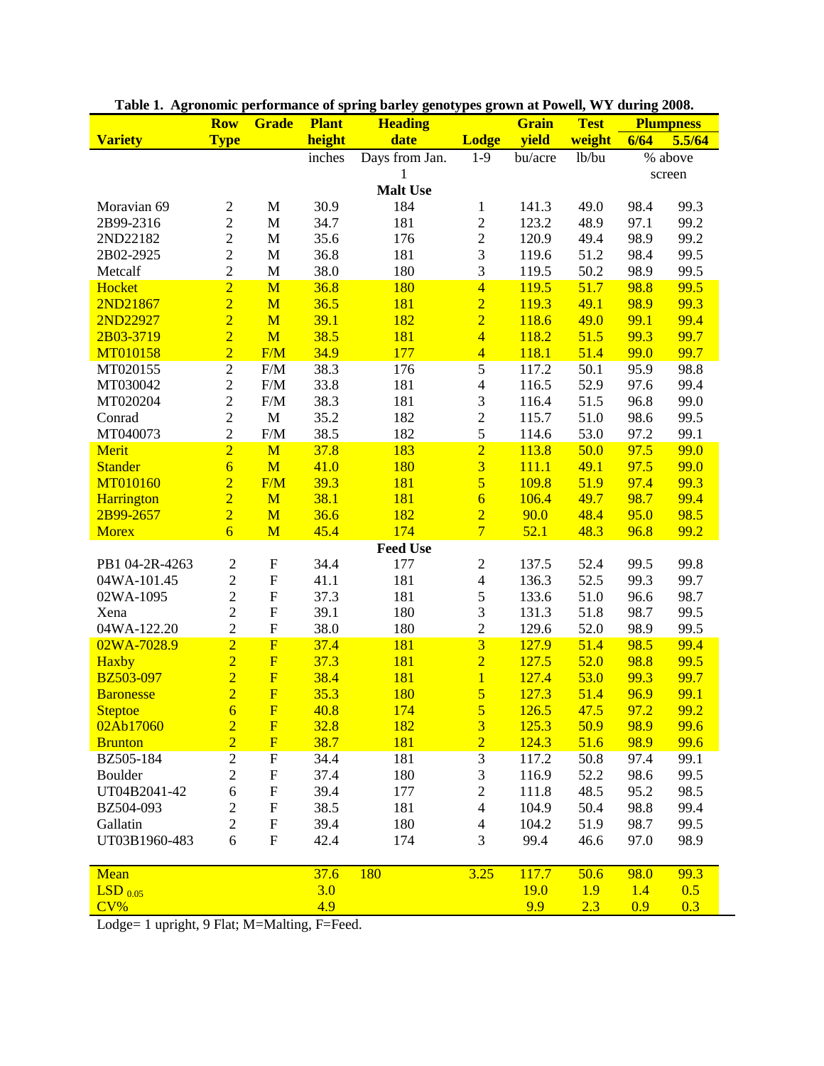|                  | <b>Row</b>     | Grade                     | <b>Plant</b> | <b>Heading</b>  |                         | Grain        | <b>Test</b> | <b>Plumpness</b> |        |  |
|------------------|----------------|---------------------------|--------------|-----------------|-------------------------|--------------|-------------|------------------|--------|--|
| <b>Variety</b>   | <b>Type</b>    |                           | height       | date            | <b>Lodge</b>            | yield        | weight      | 6/64             | 5.5/64 |  |
|                  |                |                           | inches       | Days from Jan.  | $1-9$                   | bu/acre      | lb/bu       | % above          |        |  |
|                  |                |                           |              | 1               |                         |              |             |                  | screen |  |
| <b>Malt Use</b>  |                |                           |              |                 |                         |              |             |                  |        |  |
| Moravian 69      | $\mathbf{2}$   | $\mathbf M$               | 30.9         | 184             | $\mathbf{1}$            | 141.3        | 49.0        | 98.4             | 99.3   |  |
| 2B99-2316        | $\overline{c}$ | M                         | 34.7         | 181             | $\sqrt{2}$              | 123.2        | 48.9        | 97.1             | 99.2   |  |
| 2ND22182         | $\overline{c}$ | $\mathbf M$               | 35.6         | 176             | $\sqrt{2}$              | 120.9        | 49.4        | 98.9             | 99.2   |  |
| 2B02-2925        | $\overline{c}$ | $\mathbf M$               | 36.8         | 181             | $\mathfrak{Z}$          | 119.6        | 51.2        | 98.4             | 99.5   |  |
| Metcalf          | $\overline{2}$ | M                         | 38.0         | 180             | $\mathfrak{Z}$          | 119.5        | 50.2        | 98.9             | 99.5   |  |
| Hocket           | $\frac{2}{2}$  | M                         | 36.8         | 180             | $\overline{4}$          | 119.5        | 51.7        | 98.8             | 99.5   |  |
| 2ND21867         |                | M                         | 36.5         | 181             | $\overline{2}$          | 119.3        | 49.1        | 98.9             | 99.3   |  |
| 2ND22927         |                | M                         | 39.1         | 182             | $\overline{2}$          | 118.6        | 49.0        | 99.1             | 99.4   |  |
| 2B03-3719        |                | M                         | 38.5         | 181             | $\overline{4}$          | 118.2        | 51.5        | 99.3             | 99.7   |  |
| MT010158         | $\overline{2}$ | F/M                       | 34.9         | 177             | $\overline{4}$          | 118.1        | 51.4        | 99.0             | 99.7   |  |
| MT020155         | $\overline{2}$ | F/M                       | 38.3         | 176             | $\overline{5}$          | 117.2        | 50.1        | 95.9             | 98.8   |  |
| MT030042         | $\overline{c}$ | $F/M$                     | 33.8         | 181             | $\overline{4}$          | 116.5        | 52.9        | 97.6             | 99.4   |  |
| MT020204         | $\overline{2}$ | $F/M$                     | 38.3         | 181             | $\overline{\mathbf{3}}$ | 116.4        | 51.5        | 96.8             | 99.0   |  |
| Conrad           | $\overline{c}$ | $\mathbf M$               | 35.2         | 182             |                         | 115.7        | 51.0        | 98.6             | 99.5   |  |
| MT040073         | $\overline{c}$ | $F/M$                     | 38.5         | 182             | $rac{2}{5}$             | 114.6        | 53.0        | 97.2             | 99.1   |  |
| Merit            | $\overline{2}$ | M                         | 37.8         | 183             | $\overline{2}$          | 113.8        | 50.0        | 97.5             | 99.0   |  |
| <b>Stander</b>   | $\overline{6}$ | M                         | 41.0         | 180             | $\overline{\mathbf{3}}$ | 111.1        | 49.1        | 97.5             | 99.0   |  |
| MT010160         | $\overline{2}$ | F/M                       | 39.3         | 181             | $\overline{5}$          | 109.8        | 51.9        | 97.4             | 99.3   |  |
| Harrington       | $\overline{2}$ | M                         | 38.1         | 181             | $\overline{6}$          | 106.4        | 49.7        | 98.7             | 99.4   |  |
| 2B99-2657        | $\overline{2}$ | M                         | 36.6         | 182             | $\overline{2}$          | 90.0         | 48.4        | 95.0             | 98.5   |  |
| <b>Morex</b>     | $\overline{6}$ | M                         | 45.4         | 174             | $\overline{7}$          | 52.1         | 48.3        | 96.8             | 99.2   |  |
|                  |                |                           |              | <b>Feed Use</b> |                         |              |             |                  |        |  |
| PB1 04-2R-4263   | $\sqrt{2}$     | $\mathbf F$               | 34.4         | 177             | $\boldsymbol{2}$        | 137.5        | 52.4        | 99.5             | 99.8   |  |
| 04WA-101.45      | $\overline{2}$ | $\mathbf F$               | 41.1         | 181             | $\overline{\mathbf{4}}$ | 136.3        | 52.5        | 99.3             | 99.7   |  |
| 02WA-1095        | $\overline{c}$ | $\mathbf F$               | 37.3         | 181             | 5                       | 133.6        | 51.0        | 96.6             | 98.7   |  |
| Xena             | $\overline{c}$ | $\mathbf F$               | 39.1         | 180             | $\overline{\mathbf{3}}$ | 131.3        | 51.8        | 98.7             | 99.5   |  |
| 04WA-122.20      | $\overline{c}$ | $\boldsymbol{\mathrm{F}}$ | 38.0         | 180             | $\frac{2}{3}$           | 129.6        | 52.0        | 98.9             | 99.5   |  |
| 02WA-7028.9      | $\overline{2}$ | $\overline{\mathrm{F}}$   | 37.4         | 181             |                         | 127.9        | 51.4        | 98.5             | 99.4   |  |
| <b>Haxby</b>     | $\overline{2}$ | $\overline{\mathrm{F}}$   | 37.3         | 181             | $\overline{2}$          | 127.5        | 52.0        | 98.8             | 99.5   |  |
| BZ503-097        | $\overline{2}$ | $\overline{\mathrm{F}}$   | 38.4         | 181             | $\overline{1}$          | 127.4        | 53.0        | 99.3             | 99.7   |  |
| <b>Baronesse</b> | $\overline{2}$ | $\overline{F}$            | 35.3         | 180             | $\overline{5}$          | 127.3        | 51.4        | 96.9             | 99.1   |  |
| <b>Steptoe</b>   | $\overline{6}$ | $\overline{\mathrm{F}}$   | 40.8         | 174             | 5                       | 126.5        | 47.5        | 97.2             | 99.2   |  |
| 02Ab17060        | $\overline{2}$ | $\mathbf{F}$              | 32.8         | 182             | $\overline{\mathbf{3}}$ | 125.3        | 50.9        | 98.9             | 99.6   |  |
| <b>Brunton</b>   | $\overline{2}$ | $\overline{\mathrm{F}}$   | 38.7         | 181             | $\overline{2}$          | 124.3        | 51.6        | 98.9             | 99.6   |  |
| BZ505-184        | $\mathfrak{2}$ | ${\bf F}$                 | 34.4         | 181             | $\mathfrak{Z}$          | 117.2        | 50.8        | 97.4             | 99.1   |  |
| Boulder          | $\sqrt{2}$     | $\mathbf F$               | 37.4         | 180             | $\mathfrak{Z}$          | 116.9        | 52.2        | 98.6             | 99.5   |  |
| UT04B2041-42     | 6              | F                         | 39.4         | 177             | $\mathbf{2}$            | 111.8        | 48.5        | 95.2             | 98.5   |  |
| BZ504-093        | $\overline{c}$ | $\boldsymbol{\mathrm{F}}$ | 38.5         | 181             | $\overline{4}$          | 104.9        | 50.4        | 98.8             | 99.4   |  |
| Gallatin         | $\overline{c}$ | $\boldsymbol{\mathrm{F}}$ | 39.4         | 180             | $\overline{4}$          | 104.2        | 51.9        | 98.7             | 99.5   |  |
| UT03B1960-483    | 6              | $\mathbf F$               | 42.4         | 174             | 3                       | 99.4         | 46.6        | 97.0             | 98.9   |  |
|                  |                |                           |              |                 |                         |              |             |                  |        |  |
| Mean             |                |                           | 37.6         | 180             | 3.25                    | <b>117.7</b> | 50.6        | 98.0             | 99.3   |  |
| $LSD_{0.05}$     |                |                           | 3.0          |                 |                         | <b>19.0</b>  | 1.9         | 1.4              | 0.5    |  |
| CV%              |                |                           | 4.9          |                 |                         | 9.9          | 2.3         | 0.9              | 0.3    |  |

|  | Table 1. Agronomic performance of spring barley genotypes grown at Powell, WY during 2008. |  |  |  |  |
|--|--------------------------------------------------------------------------------------------|--|--|--|--|
|  |                                                                                            |  |  |  |  |

Lodge= 1 upright, 9 Flat; M=Malting, F=Feed.